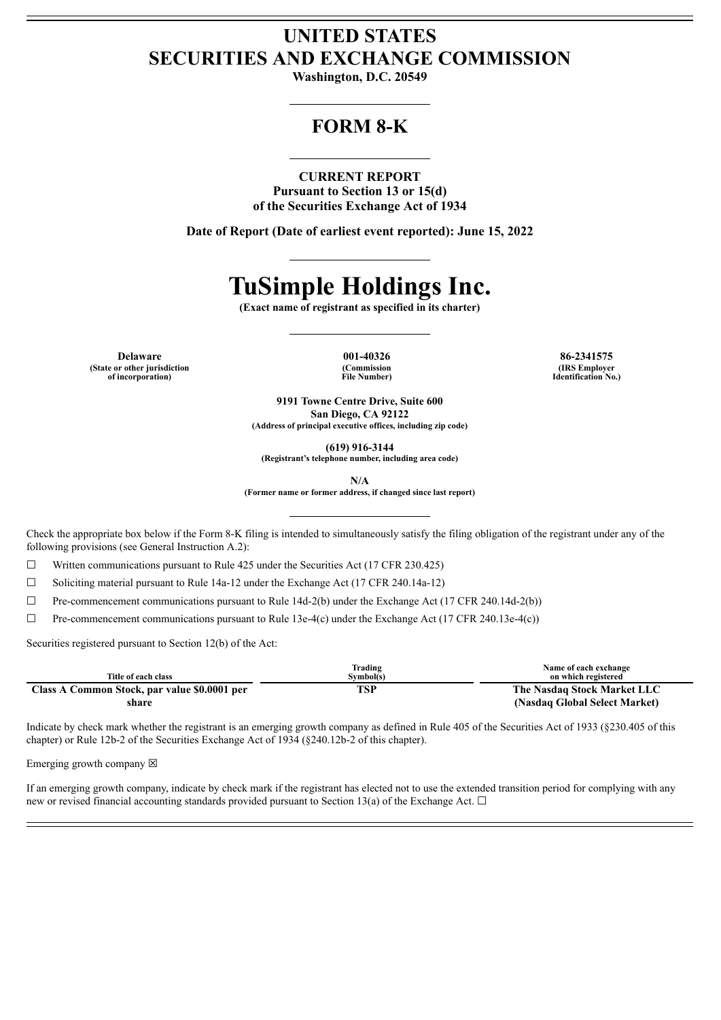# **UNITED STATES SECURITIES AND EXCHANGE COMMISSION**

**Washington, D.C. 20549**

# **FORM 8-K**

#### **CURRENT REPORT**

**Pursuant to Section 13 or 15(d) of the Securities Exchange Act of 1934**

**Date of Report (Date of earliest event reported): June 15, 2022**

# **TuSimple Holdings Inc.**

**(Exact name of registrant as specified in its charter)**

**Delaware 001-40326 86-2341575 (State or other jurisdiction of incorporation)**

**(Commission File Number)**

**(IRS Employer Identification No.)**

**9191 Towne Centre Drive, Suite 600 San Diego, CA 92122 (Address of principal executive offices, including zip code)**

**(619) 916-3144**

**(Registrant's telephone number, including area code)**

**N/A**

**(Former name or former address, if changed since last report)**

Check the appropriate box below if the Form 8-K filing is intended to simultaneously satisfy the filing obligation of the registrant under any of the following provisions (see General Instruction A.2):

 $\Box$  Written communications pursuant to Rule 425 under the Securities Act (17 CFR 230.425)

☐ Soliciting material pursuant to Rule 14a-12 under the Exchange Act (17 CFR 240.14a-12)

☐ Pre-commencement communications pursuant to Rule 14d-2(b) under the Exchange Act (17 CFR 240.14d-2(b))

 $\Box$  Pre-commencement communications pursuant to Rule 13e-4(c) under the Exchange Act (17 CFR 240.13e-4(c))

Securities registered pursuant to Section 12(b) of the Act:

|                                              | Trading   | Name of each exchange         |
|----------------------------------------------|-----------|-------------------------------|
| Title of each class                          | Svmbol(s) | on which registered           |
| Class A Common Stock, par value \$0.0001 per | TSP       | The Nasdaq Stock Market LLC   |
| share                                        |           | (Nasdaq Global Select Market) |

Indicate by check mark whether the registrant is an emerging growth company as defined in Rule 405 of the Securities Act of 1933 (§230.405 of this chapter) or Rule 12b-2 of the Securities Exchange Act of 1934 (§240.12b-2 of this chapter).

Emerging growth company  $\boxtimes$ 

If an emerging growth company, indicate by check mark if the registrant has elected not to use the extended transition period for complying with any new or revised financial accounting standards provided pursuant to Section 13(a) of the Exchange Act.  $\Box$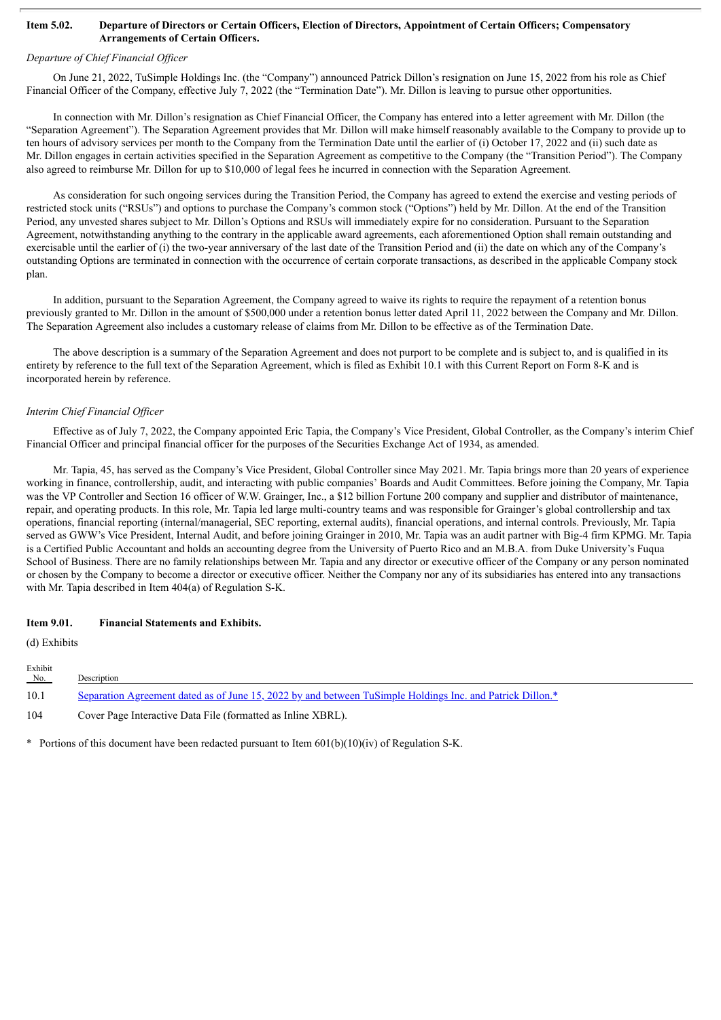#### Item 5.02. Departure of Directors or Certain Officers, Election of Directors, Appointment of Certain Officers; Compensatory **Arrangements of Certain Officers.**

#### *Departure of Chief Financial Of icer*

On June 21, 2022, TuSimple Holdings Inc. (the "Company") announced Patrick Dillon's resignation on June 15, 2022 from his role as Chief Financial Officer of the Company, effective July 7, 2022 (the "Termination Date"). Mr. Dillon is leaving to pursue other opportunities.

In connection with Mr. Dillon's resignation as Chief Financial Officer, the Company has entered into a letter agreement with Mr. Dillon (the "Separation Agreement"). The Separation Agreement provides that Mr. Dillon will make himself reasonably available to the Company to provide up to ten hours of advisory services per month to the Company from the Termination Date until the earlier of (i) October 17, 2022 and (ii) such date as Mr. Dillon engages in certain activities specified in the Separation Agreement as competitive to the Company (the "Transition Period"). The Company also agreed to reimburse Mr. Dillon for up to \$10,000 of legal fees he incurred in connection with the Separation Agreement.

As consideration for such ongoing services during the Transition Period, the Company has agreed to extend the exercise and vesting periods of restricted stock units ("RSUs") and options to purchase the Company's common stock ("Options") held by Mr. Dillon. At the end of the Transition Period, any unvested shares subject to Mr. Dillon's Options and RSUs will immediately expire for no consideration. Pursuant to the Separation Agreement, notwithstanding anything to the contrary in the applicable award agreements, each aforementioned Option shall remain outstanding and exercisable until the earlier of (i) the two-year anniversary of the last date of the Transition Period and (ii) the date on which any of the Company's outstanding Options are terminated in connection with the occurrence of certain corporate transactions, as described in the applicable Company stock plan.

In addition, pursuant to the Separation Agreement, the Company agreed to waive its rights to require the repayment of a retention bonus previously granted to Mr. Dillon in the amount of \$500,000 under a retention bonus letter dated April 11, 2022 between the Company and Mr. Dillon. The Separation Agreement also includes a customary release of claims from Mr. Dillon to be effective as of the Termination Date.

The above description is a summary of the Separation Agreement and does not purport to be complete and is subject to, and is qualified in its entirety by reference to the full text of the Separation Agreement, which is filed as Exhibit 10.1 with this Current Report on Form 8-K and is incorporated herein by reference.

#### *Interim Chief Financial Of icer*

Effective as of July 7, 2022, the Company appointed Eric Tapia, the Company's Vice President, Global Controller, as the Company's interim Chief Financial Officer and principal financial officer for the purposes of the Securities Exchange Act of 1934, as amended.

Mr. Tapia, 45, has served as the Company's Vice President, Global Controller since May 2021. Mr. Tapia brings more than 20 years of experience working in finance, controllership, audit, and interacting with public companies' Boards and Audit Committees. Before joining the Company, Mr. Tapia was the VP Controller and Section 16 officer of W.W. Grainger, Inc., a \$12 billion Fortune 200 company and supplier and distributor of maintenance, repair, and operating products. In this role, Mr. Tapia led large multi-country teams and was responsible for Grainger's global controllership and tax operations, financial reporting (internal/managerial, SEC reporting, external audits), financial operations, and internal controls. Previously, Mr. Tapia served as GWW's Vice President, Internal Audit, and before joining Grainger in 2010, Mr. Tapia was an audit partner with Big-4 firm KPMG. Mr. Tapia is a Certified Public Accountant and holds an accounting degree from the University of Puerto Rico and an M.B.A. from Duke University's Fuqua School of Business. There are no family relationships between Mr. Tapia and any director or executive officer of the Company or any person nominated or chosen by the Company to become a director or executive officer. Neither the Company nor any of its subsidiaries has entered into any transactions with Mr. Tapia described in Item 404(a) of Regulation S-K.

#### **Item 9.01. Financial Statements and Exhibits.**

(d) Exhibits

| Exhibit<br>No. | Description                                                                                               |
|----------------|-----------------------------------------------------------------------------------------------------------|
| 10.1           | Separation Agreement dated as of June 15, 2022 by and between TuSimple Holdings Inc. and Patrick Dillon.* |
| 104            | Cover Page Interactive Data File (formatted as Inline XBRL).                                              |

\* Portions of this document have been redacted pursuant to Item 601(b)(10)(iv) of Regulation S-K.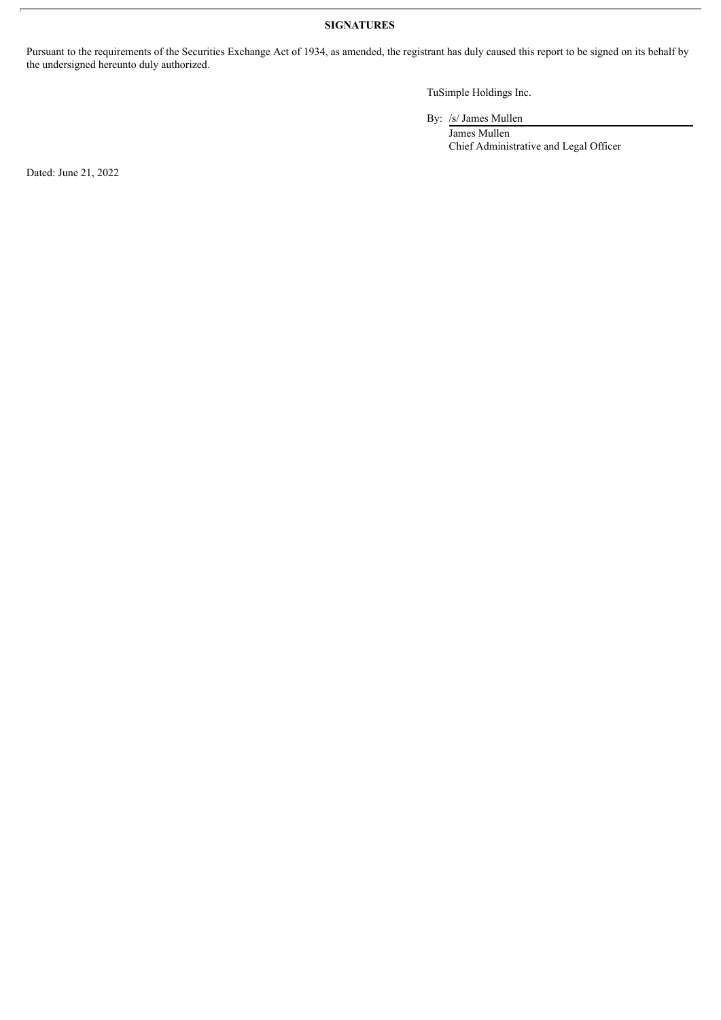## **SIGNATURES**

Pursuant to the requirements of the Securities Exchange Act of 1934, as amended, the registrant has duly caused this report to be signed on its behalf by the undersigned hereunto duly authorized.

TuSimple Holdings Inc.

By: /s/ James Mullen

James Mullen Chief Administrative and Legal Officer

Dated: June 21, 2022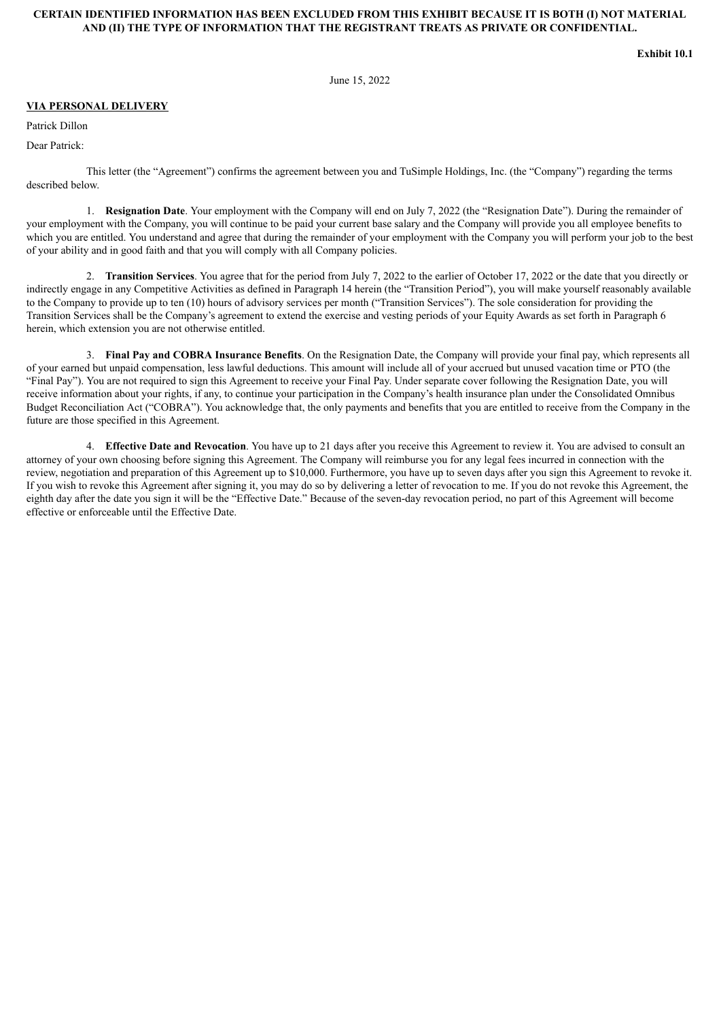#### <span id="page-3-0"></span>**CERTAIN IDENTIFIED INFORMATION HAS BEEN EXCLUDED FROM THIS EXHIBIT BECAUSE IT IS BOTH (I) NOT MATERIAL AND (II) THE TYPE OF INFORMATION THAT THE REGISTRANT TREATS AS PRIVATE OR CONFIDENTIAL.**

**Exhibit 10.1**

June 15, 2022

#### **VIA PERSONAL DELIVERY**

Patrick Dillon

Dear Patrick:

This letter (the "Agreement") confirms the agreement between you and TuSimple Holdings, Inc. (the "Company") regarding the terms described below.

1. **Resignation Date**. Your employment with the Company will end on July 7, 2022 (the "Resignation Date"). During the remainder of your employment with the Company, you will continue to be paid your current base salary and the Company will provide you all employee benefits to which you are entitled. You understand and agree that during the remainder of your employment with the Company you will perform your job to the best of your ability and in good faith and that you will comply with all Company policies.

2. **Transition Services**. You agree that for the period from July 7, 2022 to the earlier of October 17, 2022 or the date that you directly or indirectly engage in any Competitive Activities as defined in Paragraph 14 herein (the "Transition Period"), you will make yourself reasonably available to the Company to provide up to ten (10) hours of advisory services per month ("Transition Services"). The sole consideration for providing the Transition Services shall be the Company's agreement to extend the exercise and vesting periods of your Equity Awards as set forth in Paragraph 6 herein, which extension you are not otherwise entitled.

3. **Final Pay and COBRA Insurance Benefits**. On the Resignation Date, the Company will provide your final pay, which represents all of your earned but unpaid compensation, less lawful deductions. This amount will include all of your accrued but unused vacation time or PTO (the "Final Pay"). You are not required to sign this Agreement to receive your Final Pay. Under separate cover following the Resignation Date, you will receive information about your rights, if any, to continue your participation in the Company's health insurance plan under the Consolidated Omnibus Budget Reconciliation Act ("COBRA"). You acknowledge that, the only payments and benefits that you are entitled to receive from the Company in the future are those specified in this Agreement.

4. **Effective Date and Revocation**. You have up to 21 days after you receive this Agreement to review it. You are advised to consult an attorney of your own choosing before signing this Agreement. The Company will reimburse you for any legal fees incurred in connection with the review, negotiation and preparation of this Agreement up to \$10,000. Furthermore, you have up to seven days after you sign this Agreement to revoke it. If you wish to revoke this Agreement after signing it, you may do so by delivering a letter of revocation to me. If you do not revoke this Agreement, the eighth day after the date you sign it will be the "Effective Date." Because of the seven-day revocation period, no part of this Agreement will become effective or enforceable until the Effective Date.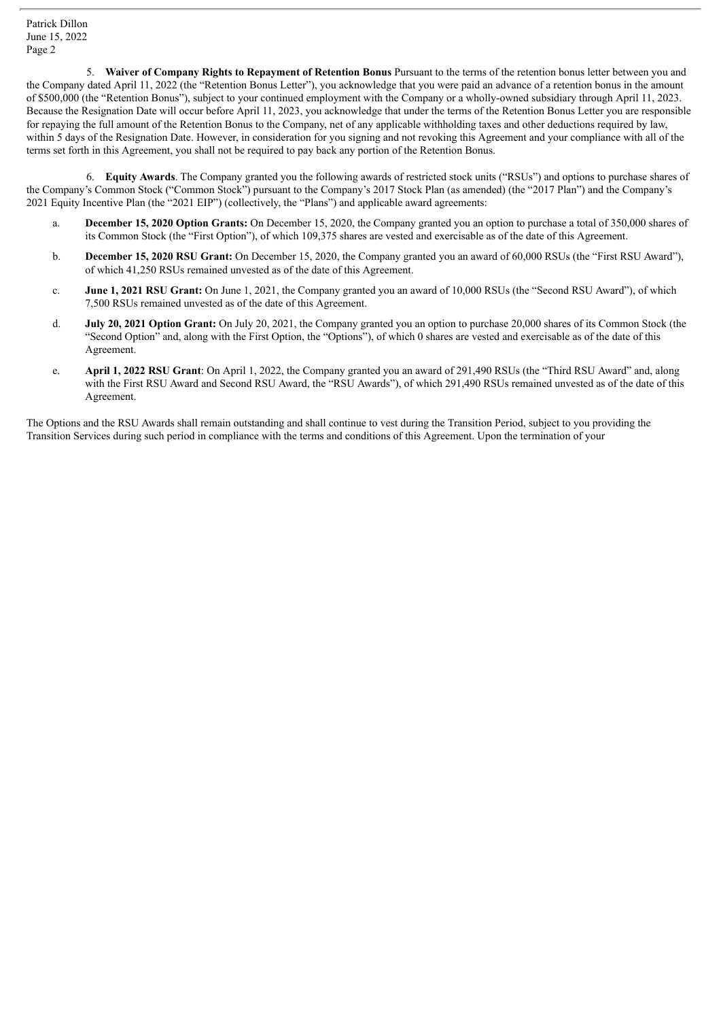5. **Waiver of Company Rights to Repayment of Retention Bonus** Pursuant to the terms of the retention bonus letter between you and the Company dated April 11, 2022 (the "Retention Bonus Letter"), you acknowledge that you were paid an advance of a retention bonus in the amount of \$500,000 (the "Retention Bonus"), subject to your continued employment with the Company or a wholly-owned subsidiary through April 11, 2023. Because the Resignation Date will occur before April 11, 2023, you acknowledge that under the terms of the Retention Bonus Letter you are responsible for repaying the full amount of the Retention Bonus to the Company, net of any applicable withholding taxes and other deductions required by law, within 5 days of the Resignation Date. However, in consideration for you signing and not revoking this Agreement and your compliance with all of the terms set forth in this Agreement, you shall not be required to pay back any portion of the Retention Bonus.

6. **Equity Awards**. The Company granted you the following awards of restricted stock units ("RSUs") and options to purchase shares of the Company's Common Stock ("Common Stock") pursuant to the Company's 2017 Stock Plan (as amended) (the "2017 Plan") and the Company's 2021 Equity Incentive Plan (the "2021 EIP") (collectively, the "Plans") and applicable award agreements:

- a. **December 15, 2020 Option Grants:** On December 15, 2020, the Company granted you an option to purchase a total of 350,000 shares of its Common Stock (the "First Option"), of which 109,375 shares are vested and exercisable as of the date of this Agreement.
- b. **December 15, 2020 RSU Grant:** On December 15, 2020, the Company granted you an award of 60,000 RSUs (the "First RSU Award"), of which 41,250 RSUs remained unvested as of the date of this Agreement.
- c. **June 1, 2021 RSU Grant:** On June 1, 2021, the Company granted you an award of 10,000 RSUs (the "Second RSU Award"), of which 7,500 RSUs remained unvested as of the date of this Agreement.
- d. **July 20, 2021 Option Grant:** On July 20, 2021, the Company granted you an option to purchase 20,000 shares of its Common Stock (the "Second Option" and, along with the First Option, the "Options"), of which 0 shares are vested and exercisable as of the date of this Agreement.
- e. **April 1, 2022 RSU Grant**: On April 1, 2022, the Company granted you an award of 291,490 RSUs (the "Third RSU Award" and, along with the First RSU Award and Second RSU Award, the "RSU Awards"), of which 291,490 RSUs remained unvested as of the date of this Agreement.

The Options and the RSU Awards shall remain outstanding and shall continue to vest during the Transition Period, subject to you providing the Transition Services during such period in compliance with the terms and conditions of this Agreement. Upon the termination of your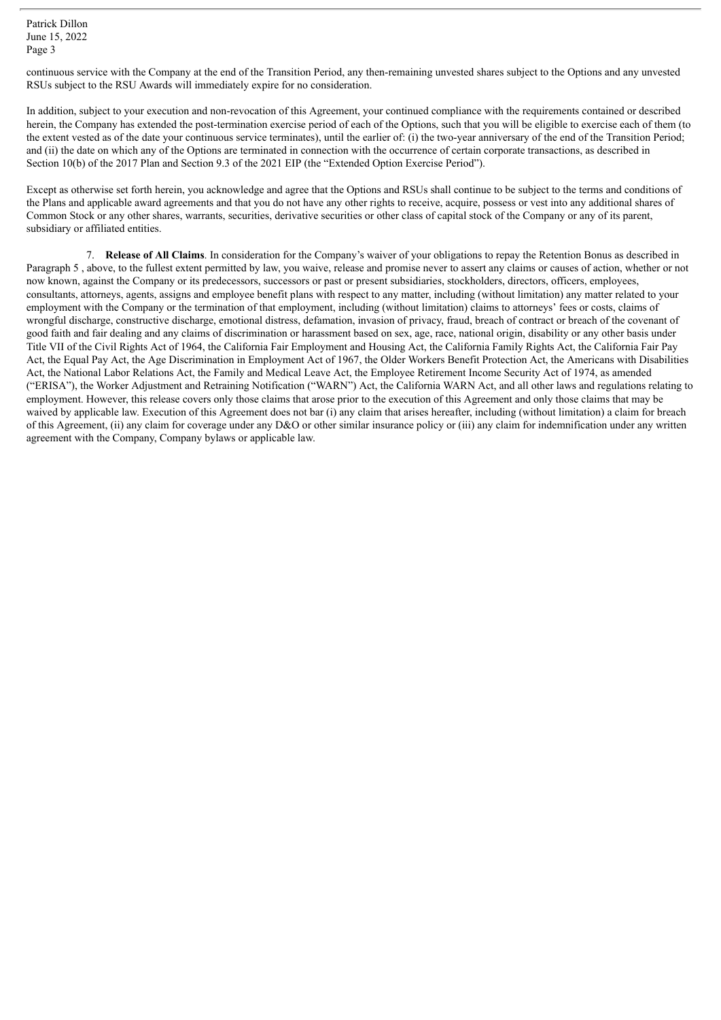continuous service with the Company at the end of the Transition Period, any then-remaining unvested shares subject to the Options and any unvested RSUs subject to the RSU Awards will immediately expire for no consideration.

In addition, subject to your execution and non-revocation of this Agreement, your continued compliance with the requirements contained or described herein, the Company has extended the post-termination exercise period of each of the Options, such that you will be eligible to exercise each of them (to the extent vested as of the date your continuous service terminates), until the earlier of: (i) the two-year anniversary of the end of the Transition Period; and (ii) the date on which any of the Options are terminated in connection with the occurrence of certain corporate transactions, as described in Section 10(b) of the 2017 Plan and Section 9.3 of the 2021 EIP (the "Extended Option Exercise Period").

Except as otherwise set forth herein, you acknowledge and agree that the Options and RSUs shall continue to be subject to the terms and conditions of the Plans and applicable award agreements and that you do not have any other rights to receive, acquire, possess or vest into any additional shares of Common Stock or any other shares, warrants, securities, derivative securities or other class of capital stock of the Company or any of its parent, subsidiary or affiliated entities.

7. **Release of All Claims**. In consideration for the Company's waiver of your obligations to repay the Retention Bonus as described in Paragraph 5 , above, to the fullest extent permitted by law, you waive, release and promise never to assert any claims or causes of action, whether or not now known, against the Company or its predecessors, successors or past or present subsidiaries, stockholders, directors, officers, employees, consultants, attorneys, agents, assigns and employee benefit plans with respect to any matter, including (without limitation) any matter related to your employment with the Company or the termination of that employment, including (without limitation) claims to attorneys' fees or costs, claims of wrongful discharge, constructive discharge, emotional distress, defamation, invasion of privacy, fraud, breach of contract or breach of the covenant of good faith and fair dealing and any claims of discrimination or harassment based on sex, age, race, national origin, disability or any other basis under Title VII of the Civil Rights Act of 1964, the California Fair Employment and Housing Act, the California Family Rights Act, the California Fair Pay Act, the Equal Pay Act, the Age Discrimination in Employment Act of 1967, the Older Workers Benefit Protection Act, the Americans with Disabilities Act, the National Labor Relations Act, the Family and Medical Leave Act, the Employee Retirement Income Security Act of 1974, as amended ("ERISA"), the Worker Adjustment and Retraining Notification ("WARN") Act, the California WARN Act, and all other laws and regulations relating to employment. However, this release covers only those claims that arose prior to the execution of this Agreement and only those claims that may be waived by applicable law. Execution of this Agreement does not bar (i) any claim that arises hereafter, including (without limitation) a claim for breach of this Agreement, (ii) any claim for coverage under any D&O or other similar insurance policy or (iii) any claim for indemnification under any written agreement with the Company, Company bylaws or applicable law.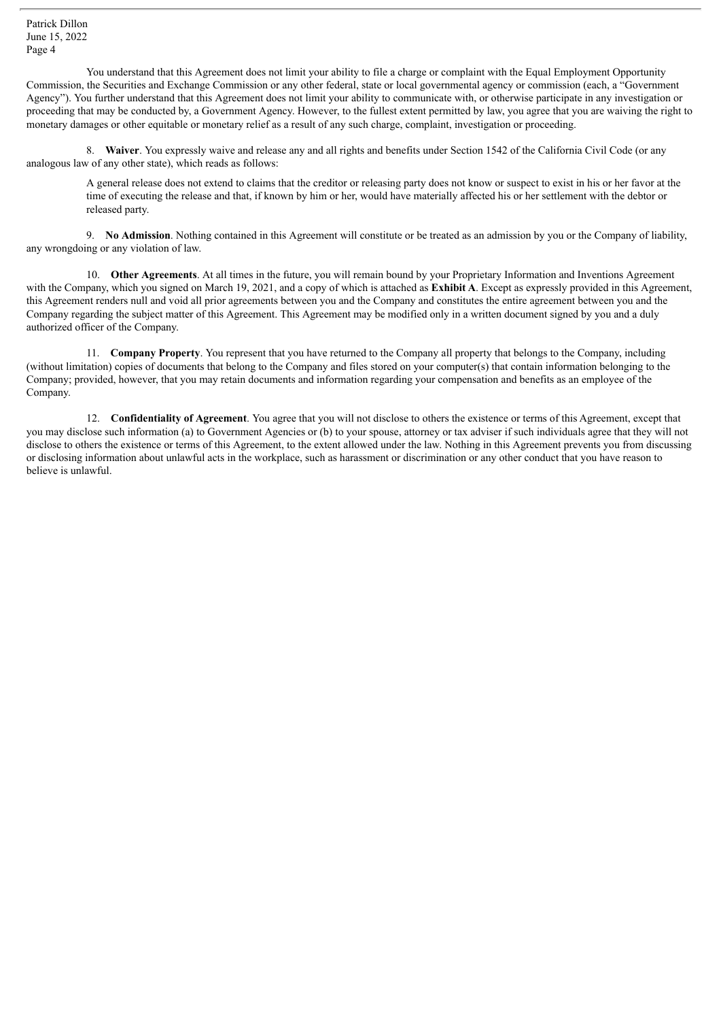You understand that this Agreement does not limit your ability to file a charge or complaint with the Equal Employment Opportunity Commission, the Securities and Exchange Commission or any other federal, state or local governmental agency or commission (each, a "Government Agency"). You further understand that this Agreement does not limit your ability to communicate with, or otherwise participate in any investigation or proceeding that may be conducted by, a Government Agency. However, to the fullest extent permitted by law, you agree that you are waiving the right to monetary damages or other equitable or monetary relief as a result of any such charge, complaint, investigation or proceeding.

8. **Waiver**. You expressly waive and release any and all rights and benefits under Section 1542 of the California Civil Code (or any analogous law of any other state), which reads as follows:

A general release does not extend to claims that the creditor or releasing party does not know or suspect to exist in his or her favor at the time of executing the release and that, if known by him or her, would have materially affected his or her settlement with the debtor or released party.

9. **No Admission**. Nothing contained in this Agreement will constitute or be treated as an admission by you or the Company of liability, any wrongdoing or any violation of law.

10. **Other Agreements**. At all times in the future, you will remain bound by your Proprietary Information and Inventions Agreement with the Company, which you signed on March 19, 2021, and a copy of which is attached as **Exhibit A**. Except as expressly provided in this Agreement, this Agreement renders null and void all prior agreements between you and the Company and constitutes the entire agreement between you and the Company regarding the subject matter of this Agreement. This Agreement may be modified only in a written document signed by you and a duly authorized officer of the Company.

11. **Company Property**. You represent that you have returned to the Company all property that belongs to the Company, including (without limitation) copies of documents that belong to the Company and files stored on your computer(s) that contain information belonging to the Company; provided, however, that you may retain documents and information regarding your compensation and benefits as an employee of the Company.

12. **Confidentiality of Agreement**. You agree that you will not disclose to others the existence or terms of this Agreement, except that you may disclose such information (a) to Government Agencies or (b) to your spouse, attorney or tax adviser if such individuals agree that they will not disclose to others the existence or terms of this Agreement, to the extent allowed under the law. Nothing in this Agreement prevents you from discussing or disclosing information about unlawful acts in the workplace, such as harassment or discrimination or any other conduct that you have reason to believe is unlawful.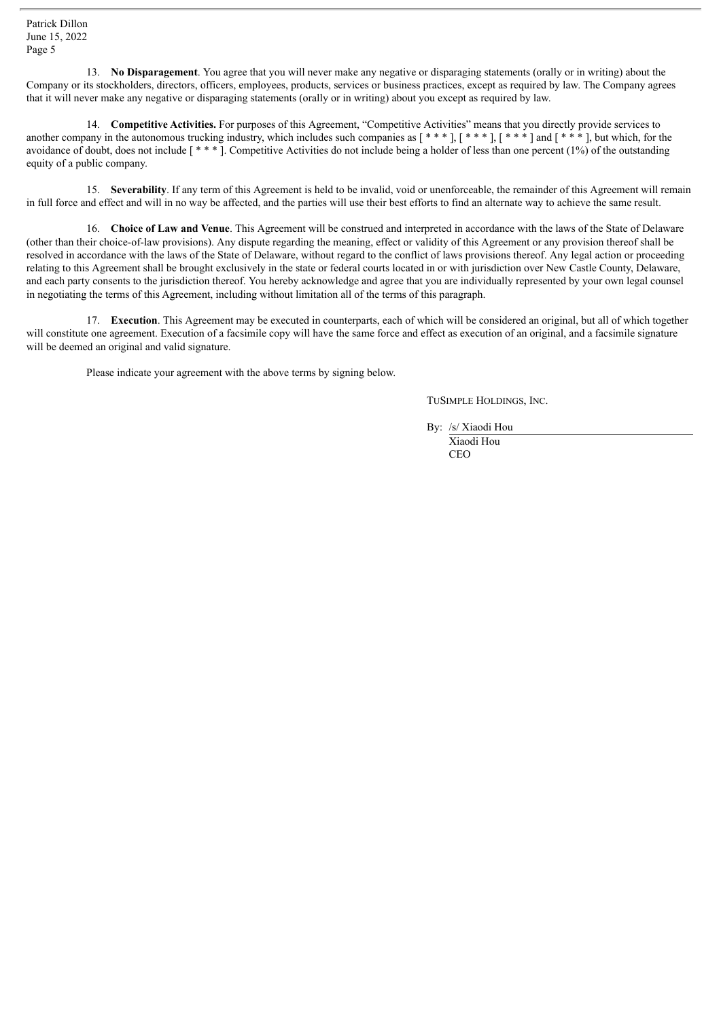13. **No Disparagement**. You agree that you will never make any negative or disparaging statements (orally or in writing) about the Company or its stockholders, directors, officers, employees, products, services or business practices, except as required by law. The Company agrees that it will never make any negative or disparaging statements (orally or in writing) about you except as required by law.

14. **Competitive Activities.** For purposes of this Agreement, "Competitive Activities" means that you directly provide services to another company in the autonomous trucking industry, which includes such companies as  $[$ \*\*\*],  $[$ \*\*\*],  $[$ \*\*\*] and  $[$ \*\*\*], but which, for the avoidance of doubt, does not include [ \* \* \* ]. Competitive Activities do not include being a holder of less than one percent (1%) of the outstanding equity of a public company.

15. **Severability**. If any term of this Agreement is held to be invalid, void or unenforceable, the remainder of this Agreement will remain in full force and effect and will in no way be affected, and the parties will use their best efforts to find an alternate way to achieve the same result.

16. **Choice of Law and Venue**. This Agreement will be construed and interpreted in accordance with the laws of the State of Delaware (other than their choice-of-law provisions). Any dispute regarding the meaning, effect or validity of this Agreement or any provision thereof shall be resolved in accordance with the laws of the State of Delaware, without regard to the conflict of laws provisions thereof. Any legal action or proceeding relating to this Agreement shall be brought exclusively in the state or federal courts located in or with jurisdiction over New Castle County, Delaware, and each party consents to the jurisdiction thereof. You hereby acknowledge and agree that you are individually represented by your own legal counsel in negotiating the terms of this Agreement, including without limitation all of the terms of this paragraph.

17. **Execution**. This Agreement may be executed in counterparts, each of which will be considered an original, but all of which together will constitute one agreement. Execution of a facsimile copy will have the same force and effect as execution of an original, and a facsimile signature will be deemed an original and valid signature.

Please indicate your agreement with the above terms by signing below.

TUSIMPLE HOLDINGS, INC.

By: /s/ Xiaodi Hou

Xiaodi Hou CEO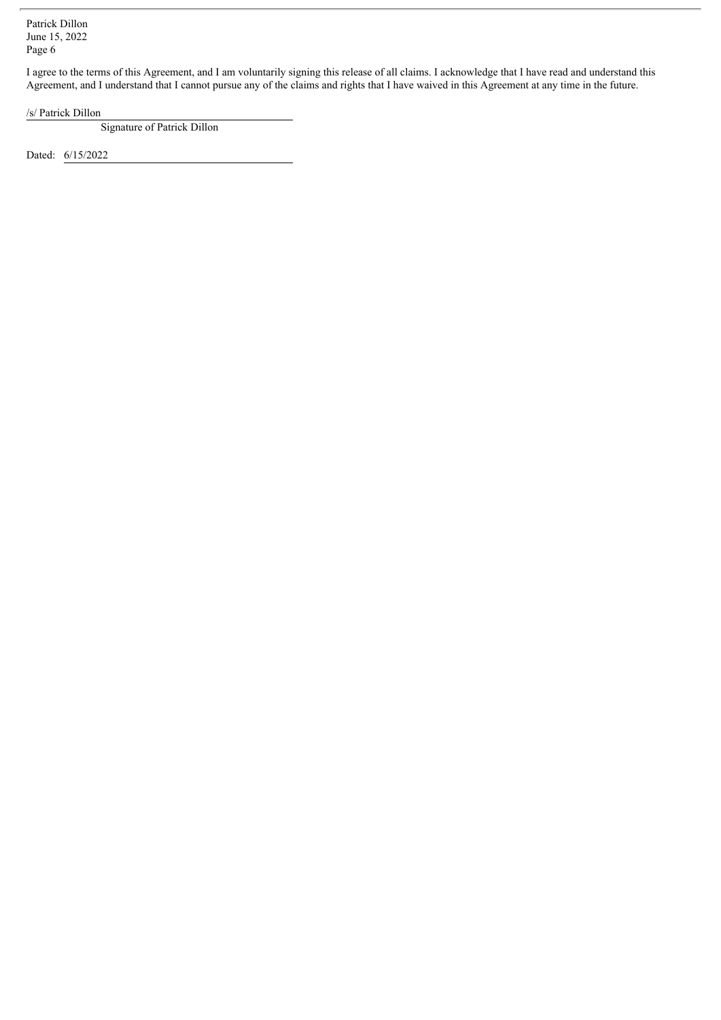I agree to the terms of this Agreement, and I am voluntarily signing this release of all claims. I acknowledge that I have read and understand this Agreement, and I understand that I cannot pursue any of the claims and rights that I have waived in this Agreement at any time in the future.

/s/ Patrick Dillon

Signature of Patrick Dillon

Dated: 6/15/2022